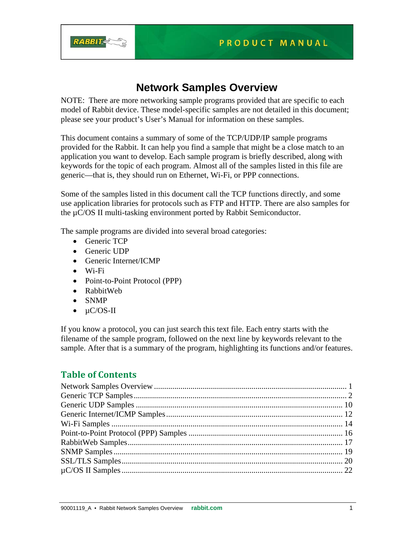

# **Network Samples Overview**

NOTE: There are more networking sample programs provided that are specific to each model of Rabbit device. These model-specific samples are not detailed in this document; please see your product's User's Manual for information on these samples.

This document contains a summary of some of the TCP/UDP/IP sample programs provided for the Rabbit. It can help you find a sample that might be a close match to an application you want to develop. Each sample program is briefly described, along with keywords for the topic of each program. Almost all of the samples listed in this file are generic—that is, they should run on Ethernet, Wi-Fi, or PPP connections.

Some of the samples listed in this document call the TCP functions directly, and some use application libraries for protocols such as FTP and HTTP. There are also samples for the µC/OS II multi-tasking environment ported by Rabbit Semiconductor.

The sample programs are divided into several broad categories:

- Generic TCP
- Generic UDP
- Generic Internet/ICMP
- Wi-Fi
- Point-to-Point Protocol (PPP)
- RabbitWeb
- SNMP
- $\bullet$   $\angle$  uC/OS-II

If you know a protocol, you can just search this text file. Each entry starts with the filename of the sample program, followed on the next line by keywords relevant to the sample. After that is a summary of the program, highlighting its functions and/or features.

## **Table of Contents**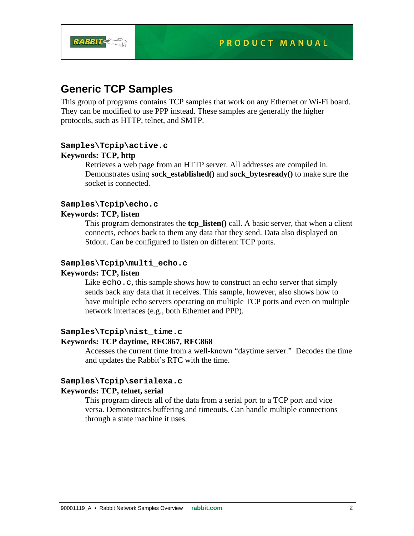

## **Generic TCP Samples**

This group of programs contains TCP samples that work on any Ethernet or Wi-Fi board. They can be modified to use PPP instead. These samples are generally the higher protocols, such as HTTP, telnet, and SMTP.

## **Samples\Tcpip\active.c Keywords: TCP, http**

Retrieves a web page from an HTTP server. All addresses are compiled in. Demonstrates using **sock\_established()** and **sock\_bytesready()** to make sure the socket is connected.

## **Samples\Tcpip\echo.c**

## **Keywords: TCP, listen**

This program demonstrates the **tcp\_listen()** call. A basic server, that when a client connects, echoes back to them any data that they send. Data also displayed on Stdout. Can be configured to listen on different TCP ports.

## **Samples\Tcpip\multi\_echo.c**

## **Keywords: TCP, listen**

Like echo.c, this sample shows how to construct an echo server that simply sends back any data that it receives. This sample, however, also shows how to have multiple echo servers operating on multiple TCP ports and even on multiple network interfaces (e.g., both Ethernet and PPP).

## **Samples\Tcpip\nist\_time.c Keywords: TCP daytime, RFC867, RFC868**

Accesses the current time from a well-known "daytime server." Decodes the time and updates the Rabbit's RTC with the time.

## **Samples\Tcpip\serialexa.c**

## **Keywords: TCP, telnet, serial**

This program directs all of the data from a serial port to a TCP port and vice versa. Demonstrates buffering and timeouts. Can handle multiple connections through a state machine it uses.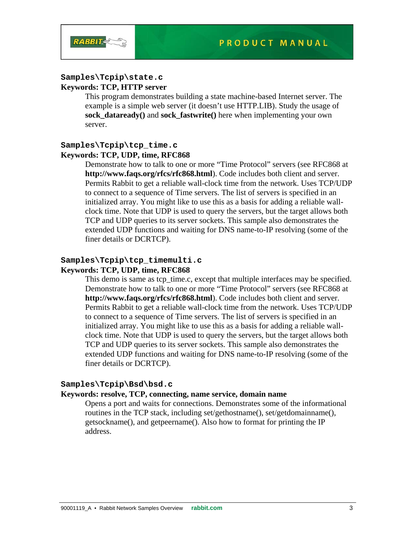

## **Samples\Tcpip\state.c**

## **Keywords: TCP, HTTP server**

This program demonstrates building a state machine-based Internet server. The example is a simple web server (it doesn't use HTTP.LIB). Study the usage of **sock\_dataready()** and **sock\_fastwrite()** here when implementing your own server.

#### **Samples\Tcpip\tcp\_time.c**

#### **Keywords: TCP, UDP, time, RFC868**

Demonstrate how to talk to one or more "Time Protocol" servers (see RFC868 at **http://www.faqs.org/rfcs/rfc868.html**). Code includes both client and server. Permits Rabbit to get a reliable wall-clock time from the network. Uses TCP/UDP to connect to a sequence of Time servers. The list of servers is specified in an initialized array. You might like to use this as a basis for adding a reliable wallclock time. Note that UDP is used to query the servers, but the target allows both TCP and UDP queries to its server sockets. This sample also demonstrates the extended UDP functions and waiting for DNS name-to-IP resolving (some of the finer details or DCRTCP).

#### **Samples\Tcpip\tcp\_timemulti.c Keywords: TCP, UDP, time, RFC868**

This demo is same as tcp\_time.c, except that multiple interfaces may be specified. Demonstrate how to talk to one or more "Time Protocol" servers (see RFC868 at **http://www.faqs.org/rfcs/rfc868.html**). Code includes both client and server. Permits Rabbit to get a reliable wall-clock time from the network. Uses TCP/UDP to connect to a sequence of Time servers. The list of servers is specified in an initialized array. You might like to use this as a basis for adding a reliable wallclock time. Note that UDP is used to query the servers, but the target allows both TCP and UDP queries to its server sockets. This sample also demonstrates the extended UDP functions and waiting for DNS name-to-IP resolving (some of the finer details or DCRTCP).

#### **Samples\Tcpip\Bsd\bsd.c**

#### **Keywords: resolve, TCP, connecting, name service, domain name**

Opens a port and waits for connections. Demonstrates some of the informational routines in the TCP stack, including set/gethostname(), set/getdomainname(), getsockname(), and getpeername(). Also how to format for printing the IP address.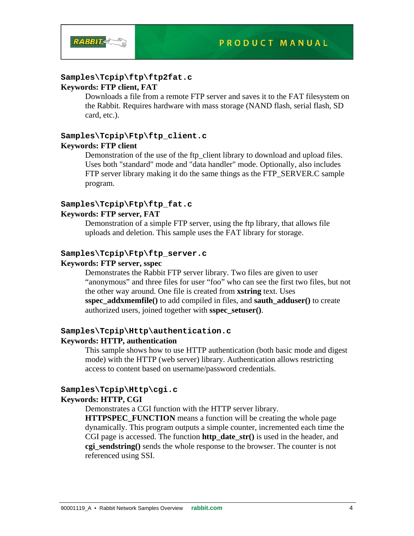

#### **Samples\Tcpip\ftp\ftp2fat.c Keywords: FTP client, FAT**

Downloads a file from a remote FTP server and saves it to the FAT filesystem on the Rabbit. Requires hardware with mass storage (NAND flash, serial flash, SD card, etc.).

# **Samples\Tcpip\Ftp\ftp\_client.c**

## **Keywords: FTP client**

Demonstration of the use of the ftp\_client library to download and upload files. Uses both "standard" mode and "data handler" mode. Optionally, also includes FTP server library making it do the same things as the FTP SERVER.C sample program.

## **Samples\Tcpip\Ftp\ftp\_fat.c**

#### **Keywords: FTP server, FAT**

Demonstration of a simple FTP server, using the ftp library, that allows file uploads and deletion. This sample uses the FAT library for storage.

#### **Samples\Tcpip\Ftp\ftp\_server.c**

#### **Keywords: FTP server, sspec**

Demonstrates the Rabbit FTP server library. Two files are given to user "anonymous" and three files for user "foo" who can see the first two files, but not the other way around. One file is created from **xstring** text. Uses **sspec\_addxmemfile()** to add compiled in files, and **sauth\_adduser()** to create authorized users, joined together with **sspec\_setuser()**.

## **Samples\Tcpip\Http\authentication.c**

#### **Keywords: HTTP, authentication**

This sample shows how to use HTTP authentication (both basic mode and digest mode) with the HTTP (web server) library. Authentication allows restricting access to content based on username/password credentials.

# **Samples\Tcpip\Http\cgi.c**

## **Keywords: HTTP, CGI**

Demonstrates a CGI function with the HTTP server library.

**HTTPSPEC\_FUNCTION** means a function will be creating the whole page dynamically. This program outputs a simple counter, incremented each time the CGI page is accessed. The function **http\_date\_str()** is used in the header, and **cgi\_sendstring()** sends the whole response to the browser. The counter is not referenced using SSI.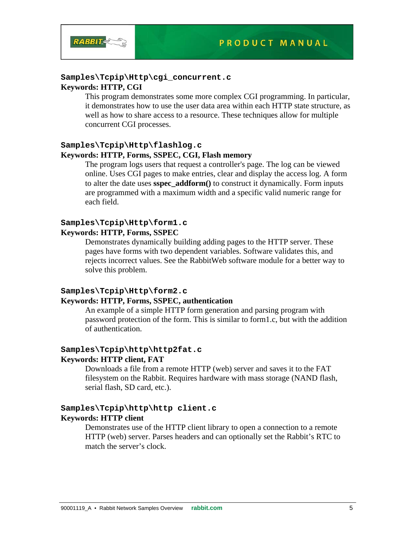

#### **Samples\Tcpip\Http\cgi\_concurrent.c**

#### **Keywords: HTTP, CGI**

This program demonstrates some more complex CGI programming. In particular, it demonstrates how to use the user data area within each HTTP state structure, as well as how to share access to a resource. These techniques allow for multiple concurrent CGI processes.

## **Samples\Tcpip\Http\flashlog.c**

#### **Keywords: HTTP, Forms, SSPEC, CGI, Flash memory**

The program logs users that request a controller's page. The log can be viewed online. Uses CGI pages to make entries, clear and display the access log. A form to alter the date uses **sspec\_addform()** to construct it dynamically. Form inputs are programmed with a maximum width and a specific valid numeric range for each field.

## **Samples\Tcpip\Http\form1.c**

### **Keywords: HTTP, Forms, SSPEC**

Demonstrates dynamically building adding pages to the HTTP server. These pages have forms with two dependent variables. Software validates this, and rejects incorrect values. See the RabbitWeb software module for a better way to solve this problem.

#### **Samples\Tcpip\Http\form2.c**

#### **Keywords: HTTP, Forms, SSPEC, authentication**

An example of a simple HTTP form generation and parsing program with password protection of the form. This is similar to form1.c, but with the addition of authentication.

## **Samples\Tcpip\http\http2fat.c Keywords: HTTP client, FAT**

Downloads a file from a remote HTTP (web) server and saves it to the FAT filesystem on the Rabbit. Requires hardware with mass storage (NAND flash, serial flash, SD card, etc.).

## **Samples\Tcpip\http\http client.c**

## **Keywords: HTTP client**

Demonstrates use of the HTTP client library to open a connection to a remote HTTP (web) server. Parses headers and can optionally set the Rabbit's RTC to match the server's clock.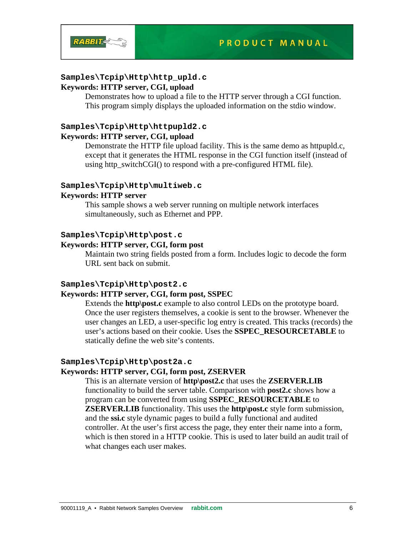

# **Samples\Tcpip\Http\http\_upld.c**

#### **Keywords: HTTP server, CGI, upload**  Demonstrates how to upload a file to the HTTP server through a CGI function.

This program simply displays the uploaded information on the stdio window.

## **Samples\Tcpip\Http\httpupld2.c Keywords: HTTP server, CGI, upload**

Demonstrate the HTTP file upload facility. This is the same demo as httpupld.c, except that it generates the HTML response in the CGI function itself (instead of using http\_switchCGI() to respond with a pre-configured HTML file).

## **Samples\Tcpip\Http\multiweb.c**

## **Keywords: HTTP server**

This sample shows a web server running on multiple network interfaces simultaneously, such as Ethernet and PPP.

## **Samples\Tcpip\Http\post.c**

## **Keywords: HTTP server, CGI, form post**

Maintain two string fields posted from a form. Includes logic to decode the form URL sent back on submit.

## **Samples\Tcpip\Http\post2.c**

## **Keywords: HTTP server, CGI, form post, SSPEC**

Extends the **http\post.c** example to also control LEDs on the prototype board. Once the user registers themselves, a cookie is sent to the browser. Whenever the user changes an LED, a user-specific log entry is created. This tracks (records) the user's actions based on their cookie. Uses the **SSPEC\_RESOURCETABLE** to statically define the web site's contents.

## **Samples\Tcpip\Http\post2a.c**

## **Keywords: HTTP server, CGI, form post, ZSERVER**

This is an alternate version of **http\post2.c** that uses the **ZSERVER.LIB** functionality to build the server table. Comparison with **post2.c** shows how a program can be converted from using **SSPEC\_RESOURCETABLE** to **ZSERVER.LIB** functionality. This uses the **http\post.c** style form submission, and the **ssi.c** style dynamic pages to build a fully functional and audited controller. At the user's first access the page, they enter their name into a form, which is then stored in a HTTP cookie. This is used to later build an audit trail of what changes each user makes.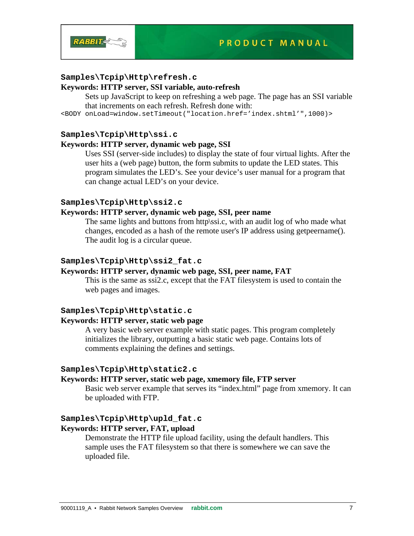

## **Samples\Tcpip\Http\refresh.c**

## **Keywords: HTTP server, SSI variable, auto-refresh**

Sets up JavaScript to keep on refreshing a web page. The page has an SSI variable that increments on each refresh. Refresh done with:

<BODY onLoad=window.setTimeout("location.href='index.shtml'",1000)>

## **Samples\Tcpip\Http\ssi.c**

## **Keywords: HTTP server, dynamic web page, SSI**

Uses SSI (server-side includes) to display the state of four virtual lights. After the user hits a (web page) button, the form submits to update the LED states. This program simulates the LED's. See your device's user manual for a program that can change actual LED's on your device.

## **Samples\Tcpip\Http\ssi2.c**

## **Keywords: HTTP server, dynamic web page, SSI, peer name**

The same lights and buttons from http\ssi.c, with an audit log of who made what changes, encoded as a hash of the remote user's IP address using getpeername(). The audit log is a circular queue.

### **Samples\Tcpip\Http\ssi2\_fat.c**

#### **Keywords: HTTP server, dynamic web page, SSI, peer name, FAT**

This is the same as ssi2.c, except that the FAT filesystem is used to contain the web pages and images.

#### **Samples\Tcpip\Http\static.c**

## **Keywords: HTTP server, static web page**

A very basic web server example with static pages. This program completely initializes the library, outputting a basic static web page. Contains lots of comments explaining the defines and settings.

#### **Samples\Tcpip\Http\static2.c**

### **Keywords: HTTP server, static web page, xmemory file, FTP server**

Basic web server example that serves its "index.html" page from xmemory. It can be uploaded with FTP.

#### **Samples\Tcpip\Http\upld\_fat.c**

## **Keywords: HTTP server, FAT, upload**

Demonstrate the HTTP file upload facility, using the default handlers. This sample uses the FAT filesystem so that there is somewhere we can save the uploaded file.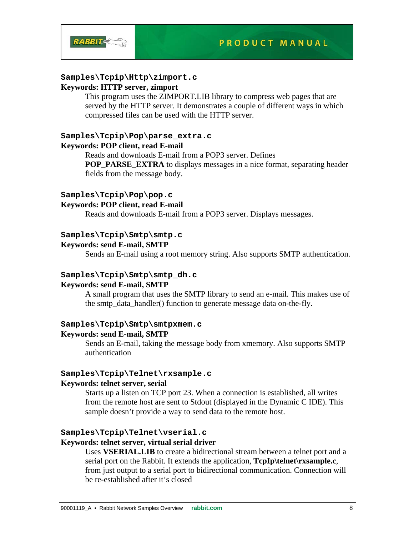

## **Samples\Tcpip\Http\zimport.c**

## **Keywords: HTTP server, zimport**

This program uses the ZIMPORT.LIB library to compress web pages that are served by the HTTP server. It demonstrates a couple of different ways in which compressed files can be used with the HTTP server.

## **Samples\Tcpip\Pop\parse\_extra.c**

## **Keywords: POP client, read E-mail**

Reads and downloads E-mail from a POP3 server. Defines **POP\_PARSE\_EXTRA** to displays messages in a nice format, separating header fields from the message body.

#### **Samples\Tcpip\Pop\pop.c**

## **Keywords: POP client, read E-mail**

Reads and downloads E-mail from a POP3 server. Displays messages.

## **Samples\Tcpip\Smtp\smtp.c**

## **Keywords: send E-mail, SMTP**

Sends an E-mail using a root memory string. Also supports SMTP authentication.

#### **Samples\Tcpip\Smtp\smtp\_dh.c**

#### **Keywords: send E-mail, SMTP**

A small program that uses the SMTP library to send an e-mail. This makes use of the smtp data handler() function to generate message data on-the-fly.

#### **Samples\Tcpip\Smtp\smtpxmem.c**

#### **Keywords: send E-mail, SMTP**

Sends an E-mail, taking the message body from xmemory. Also supports SMTP authentication

#### **Samples\Tcpip\Telnet\rxsample.c**

#### **Keywords: telnet server, serial**

Starts up a listen on TCP port 23. When a connection is established, all writes from the remote host are sent to Stdout (displayed in the Dynamic C IDE). This sample doesn't provide a way to send data to the remote host.

#### **Samples\Tcpip\Telnet\vserial.c**

#### **Keywords: telnet server, virtual serial driver**

Uses **VSERIAL.LIB** to create a bidirectional stream between a telnet port and a serial port on the Rabbit. It extends the application, **TcpIp\telnet\rxsample.c**, from just output to a serial port to bidirectional communication. Connection will be re-established after it's closed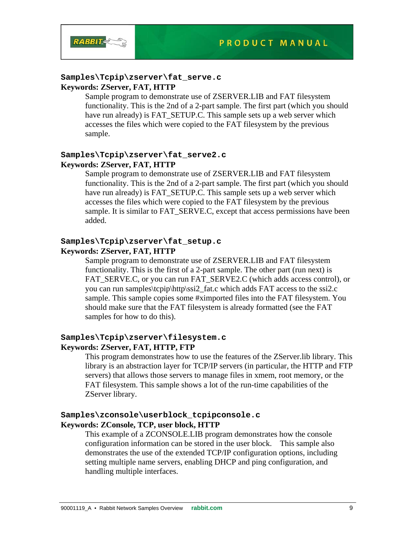

#### **Samples\Tcpip\zserver\fat\_serve.c Keywords: ZServer, FAT, HTTP**

Sample program to demonstrate use of ZSERVER.LIB and FAT filesystem functionality. This is the 2nd of a 2-part sample. The first part (which you should have run already) is FAT\_SETUP.C. This sample sets up a web server which accesses the files which were copied to the FAT filesystem by the previous sample.

## **Samples\Tcpip\zserver\fat\_serve2.c Keywords: ZServer, FAT, HTTP**

Sample program to demonstrate use of ZSERVER.LIB and FAT filesystem functionality. This is the 2nd of a 2-part sample. The first part (which you should have run already) is FAT\_SETUP.C. This sample sets up a web server which accesses the files which were copied to the FAT filesystem by the previous sample. It is similar to FAT\_SERVE.C, except that access permissions have been added.

#### **Samples\Tcpip\zserver\fat\_setup.c Keywords: ZServer, FAT, HTTP**

Sample program to demonstrate use of ZSERVER.LIB and FAT filesystem functionality. This is the first of a 2-part sample. The other part (run next) is FAT\_SERVE.C, or you can run FAT\_SERVE2.C (which adds access control), or you can run samples\tcpip\http\ssi2\_fat.c which adds FAT access to the ssi2.c sample. This sample copies some #ximported files into the FAT filesystem. You should make sure that the FAT filesystem is already formatted (see the FAT samples for how to do this).

## **Samples\Tcpip\zserver\filesystem.c Keywords: ZServer, FAT, HTTP, FTP**

This program demonstrates how to use the features of the ZServer.lib library. This library is an abstraction layer for TCP/IP servers (in particular, the HTTP and FTP servers) that allows those servers to manage files in xmem, root memory, or the FAT filesystem. This sample shows a lot of the run-time capabilities of the ZServer library.

## **Samples\zconsole\userblock\_tcpipconsole.c Keywords: ZConsole, TCP, user block, HTTP**

This example of a ZCONSOLE.LIB program demonstrates how the console configuration information can be stored in the user block. This sample also demonstrates the use of the extended TCP/IP configuration options, including setting multiple name servers, enabling DHCP and ping configuration, and handling multiple interfaces.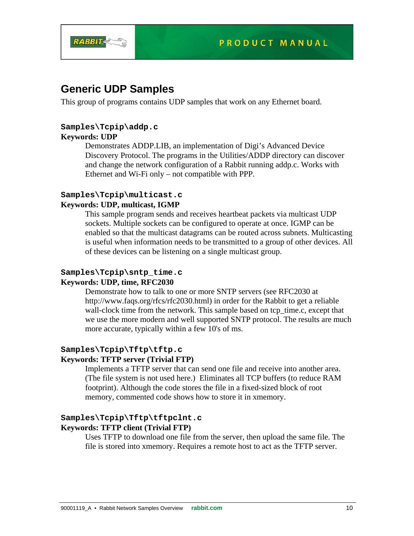

## **Generic UDP Samples**

This group of programs contains UDP samples that work on any Ethernet board.

## **Samples\Tcpip\addp.c**

## **Keywords: UDP**

Demonstrates ADDP.LIB, an implementation of Digi's Advanced Device Discovery Protocol. The programs in the Utilities/ADDP directory can discover and change the network configuration of a Rabbit running addp.c. Works with Ethernet and Wi-Fi only – not compatible with PPP.

## **Samples\Tcpip\multicast.c**

## **Keywords: UDP, multicast, IGMP**

This sample program sends and receives heartbeat packets via multicast UDP sockets. Multiple sockets can be configured to operate at once. IGMP can be enabled so that the multicast datagrams can be routed across subnets. Multicasting is useful when information needs to be transmitted to a group of other devices. All of these devices can be listening on a single multicast group.

#### **Samples\Tcpip\sntp\_time.c Keywords: UDP, time, RFC2030**

Demonstrate how to talk to one or more SNTP servers (see RFC2030 at http://www.faqs.org/rfcs/rfc2030.html) in order for the Rabbit to get a reliable wall-clock time from the network. This sample based on tcp\_time.c, except that we use the more modern and well supported SNTP protocol. The results are much more accurate, typically within a few 10's of ms.

## **Samples\Tcpip\Tftp\tftp.c**

## **Keywords: TFTP server (Trivial FTP)**

Implements a TFTP server that can send one file and receive into another area. (The file system is not used here.) Eliminates all TCP buffers (to reduce RAM footprint). Although the code stores the file in a fixed-sized block of root memory, commented code shows how to store it in xmemory.

# **Samples\Tcpip\Tftp\tftpclnt.c**

## **Keywords: TFTP client (Trivial FTP)**

Uses TFTP to download one file from the server, then upload the same file. The file is stored into xmemory. Requires a remote host to act as the TFTP server.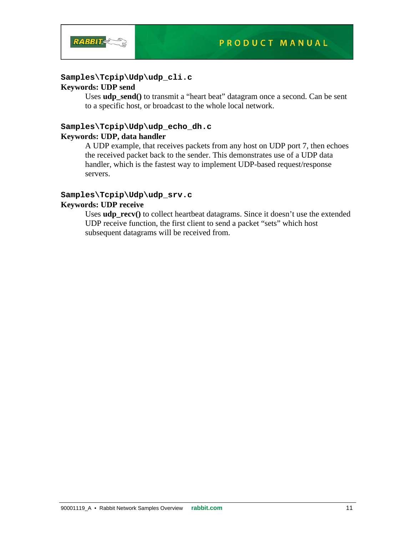

## **Samples\Tcpip\Udp\udp\_cli.c**

## **Keywords: UDP send**

Uses **udp\_send()** to transmit a "heart beat" datagram once a second. Can be sent to a specific host, or broadcast to the whole local network.

## **Samples\Tcpip\Udp\udp\_echo\_dh.c Keywords: UDP, data handler**

A UDP example, that receives packets from any host on UDP port 7, then echoes the received packet back to the sender. This demonstrates use of a UDP data handler, which is the fastest way to implement UDP-based request/response servers.

# **Samples\Tcpip\Udp\udp\_srv.c**

## **Keywords: UDP receive**

Uses **udp\_recv**() to collect heartbeat datagrams. Since it doesn't use the extended UDP receive function, the first client to send a packet "sets" which host subsequent datagrams will be received from.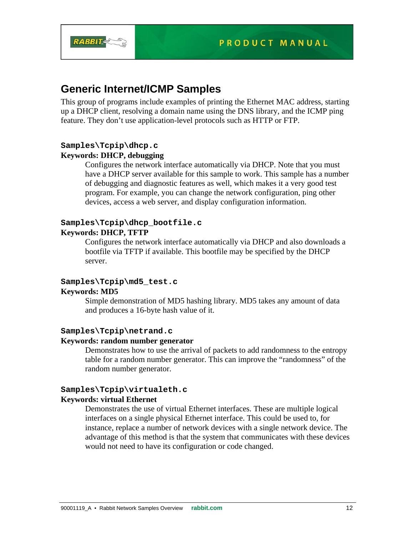

## **Generic Internet/ICMP Samples**

This group of programs include examples of printing the Ethernet MAC address, starting up a DHCP client, resolving a domain name using the DNS library, and the ICMP ping feature. They don't use application-level protocols such as HTTP or FTP.

## **Samples\Tcpip\dhcp.c Keywords: DHCP, debugging**

Configures the network interface automatically via DHCP. Note that you must have a DHCP server available for this sample to work. This sample has a number of debugging and diagnostic features as well, which makes it a very good test program. For example, you can change the network configuration, ping other devices, access a web server, and display configuration information.

## **Samples\Tcpip\dhcp\_bootfile.c Keywords: DHCP, TFTP**

Configures the network interface automatically via DHCP and also downloads a bootfile via TFTP if available. This bootfile may be specified by the DHCP server.

## **Samples\Tcpip\md5\_test.c**

## **Keywords: MD5**

Simple demonstration of MD5 hashing library. MD5 takes any amount of data and produces a 16-byte hash value of it.

## **Samples\Tcpip\netrand.c**

#### **Keywords: random number generator**

Demonstrates how to use the arrival of packets to add randomness to the entropy table for a random number generator. This can improve the "randomness" of the random number generator.

## **Samples\Tcpip\virtualeth.c**

#### **Keywords: virtual Ethernet**

Demonstrates the use of virtual Ethernet interfaces. These are multiple logical interfaces on a single physical Ethernet interface. This could be used to, for instance, replace a number of network devices with a single network device. The advantage of this method is that the system that communicates with these devices would not need to have its configuration or code changed.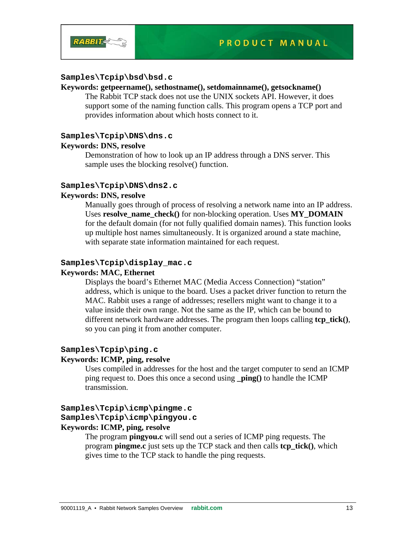

## **Samples\Tcpip\bsd\bsd.c**

#### **Keywords: getpeername(), sethostname(), setdomainname(), getsockname()**

The Rabbit TCP stack does not use the UNIX sockets API. However, it does support some of the naming function calls. This program opens a TCP port and provides information about which hosts connect to it.

#### **Samples\Tcpip\DNS\dns.c**

## **Keywords: DNS, resolve**

Demonstration of how to look up an IP address through a DNS server. This sample uses the blocking resolve() function.

#### **Samples\Tcpip\DNS\dns2.c**

### **Keywords: DNS, resolve**

Manually goes through of process of resolving a network name into an IP address. Uses **resolve name check()** for non-blocking operation. Uses **MY\_DOMAIN** for the default domain (for not fully qualified domain names). This function looks up multiple host names simultaneously. It is organized around a state machine, with separate state information maintained for each request.

#### **Samples\Tcpip\display\_mac.c**

## **Keywords: MAC, Ethernet**

Displays the board's Ethernet MAC (Media Access Connection) "station" address, which is unique to the board. Uses a packet driver function to return the MAC. Rabbit uses a range of addresses; resellers might want to change it to a value inside their own range. Not the same as the IP, which can be bound to different network hardware addresses. The program then loops calling **tcp\_tick()**, so you can ping it from another computer.

## **Samples\Tcpip\ping.c**

#### **Keywords: ICMP, ping, resolve**

Uses compiled in addresses for the host and the target computer to send an ICMP ping request to. Does this once a second using **\_ping()** to handle the ICMP transmission.

#### **Samples\Tcpip\icmp\pingme.c**

#### **Samples\Tcpip\icmp\pingyou.c**

#### **Keywords: ICMP, ping, resolve**

The program **pingyou.c** will send out a series of ICMP ping requests. The program **pingme.c** just sets up the TCP stack and then calls **tcp\_tick()**, which gives time to the TCP stack to handle the ping requests.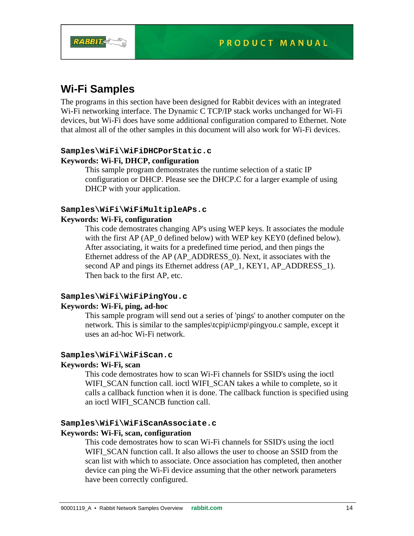

# **Wi-Fi Samples**

The programs in this section have been designed for Rabbit devices with an integrated Wi-Fi networking interface. The Dynamic C TCP/IP stack works unchanged for Wi-Fi devices, but Wi-Fi does have some additional configuration compared to Ethernet. Note that almost all of the other samples in this document will also work for Wi-Fi devices.

#### **Samples\WiFi\WiFiDHCPorStatic.c**

## **Keywords: Wi-Fi, DHCP, configuration**

This sample program demonstrates the runtime selection of a static IP configuration or DHCP. Please see the DHCP.C for a larger example of using DHCP with your application.

## **Samples\WiFi\WiFiMultipleAPs.c**

## **Keywords: Wi-Fi, configuration**

This code demostrates changing AP's using WEP keys. It associates the module with the first AP (AP\_0 defined below) with WEP key KEY0 (defined below). After associating, it waits for a predefined time period, and then pings the Ethernet address of the AP (AP\_ADDRESS\_0). Next, it associates with the second AP and pings its Ethernet address (AP\_1, KEY1, AP\_ADDRESS\_1). Then back to the first AP, etc.

## **Samples\WiFi\WiFiPingYou.c**

#### **Keywords: Wi-Fi, ping, ad-hoc**

This sample program will send out a series of 'pings' to another computer on the network. This is similar to the samples\tcpip\icmp\pingyou.c sample, except it uses an ad-hoc Wi-Fi network.

## **Samples\WiFi\WiFiScan.c**

## **Keywords: Wi-Fi, scan**

This code demostrates how to scan Wi-Fi channels for SSID's using the ioctl WIFI\_SCAN function call. ioctl WIFI\_SCAN takes a while to complete, so it calls a callback function when it is done. The callback function is specified using an ioctl WIFI\_SCANCB function call.

## **Samples\WiFi\WiFiScanAssociate.c**

#### **Keywords: Wi-Fi, scan, configuration**

This code demostrates how to scan Wi-Fi channels for SSID's using the ioctl WIFI\_SCAN function call. It also allows the user to choose an SSID from the scan list with which to associate. Once association has completed, then another device can ping the Wi-Fi device assuming that the other network parameters have been correctly configured.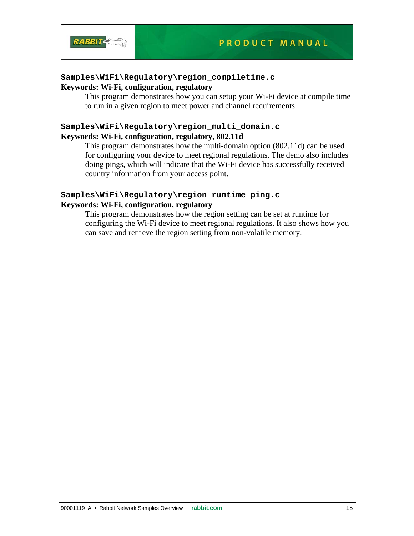

#### **Samples\WiFi\Regulatory\region\_compiletime.c Keywords: Wi-Fi, configuration, regulatory**

This program demonstrates how you can setup your Wi-Fi device at compile time to run in a given region to meet power and channel requirements.

## **Samples\WiFi\Regulatory\region\_multi\_domain.c Keywords: Wi-Fi, configuration, regulatory, 802.11d**

This program demonstrates how the multi-domain option (802.11d) can be used for configuring your device to meet regional regulations. The demo also includes doing pings, which will indicate that the Wi-Fi device has successfully received country information from your access point.

## **Samples\WiFi\Regulatory\region\_runtime\_ping.c Keywords: Wi-Fi, configuration, regulatory**

This program demonstrates how the region setting can be set at runtime for configuring the Wi-Fi device to meet regional regulations. It also shows how you can save and retrieve the region setting from non-volatile memory.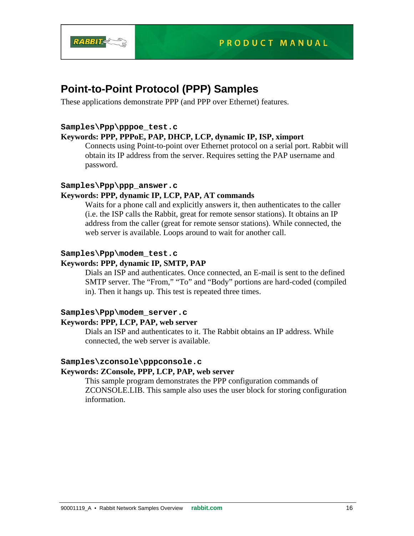

# **Point-to-Point Protocol (PPP) Samples**

These applications demonstrate PPP (and PPP over Ethernet) features.

## **Samples\Ppp\pppoe\_test.c**

## **Keywords: PPP, PPPoE, PAP, DHCP, LCP, dynamic IP, ISP, ximport**

Connects using Point-to-point over Ethernet protocol on a serial port. Rabbit will obtain its IP address from the server. Requires setting the PAP username and password.

## **Samples\Ppp\ppp\_answer.c**

## **Keywords: PPP, dynamic IP, LCP, PAP, AT commands**

Waits for a phone call and explicitly answers it, then authenticates to the caller (i.e. the ISP calls the Rabbit, great for remote sensor stations). It obtains an IP address from the caller (great for remote sensor stations). While connected, the web server is available. Loops around to wait for another call.

## **Samples\Ppp\modem\_test.c**

## **Keywords: PPP, dynamic IP, SMTP, PAP**

Dials an ISP and authenticates. Once connected, an E-mail is sent to the defined SMTP server. The "From," "To" and "Body" portions are hard-coded (compiled in). Then it hangs up. This test is repeated three times.

## **Samples\Ppp\modem\_server.c**

#### **Keywords: PPP, LCP, PAP, web server**

Dials an ISP and authenticates to it. The Rabbit obtains an IP address. While connected, the web server is available.

## **Samples\zconsole\pppconsole.c**

## **Keywords: ZConsole, PPP, LCP, PAP, web server**

This sample program demonstrates the PPP configuration commands of ZCONSOLE.LIB. This sample also uses the user block for storing configuration information.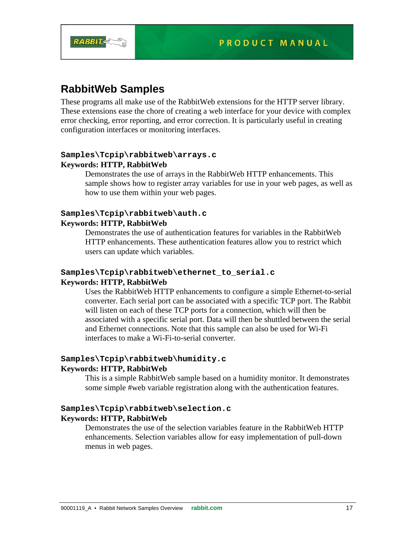



# **RabbitWeb Samples**

These programs all make use of the RabbitWeb extensions for the HTTP server library. These extensions ease the chore of creating a web interface for your device with complex error checking, error reporting, and error correction. It is particularly useful in creating configuration interfaces or monitoring interfaces.

## **Samples\Tcpip\rabbitweb\arrays.c Keywords: HTTP, RabbitWeb**

Demonstrates the use of arrays in the RabbitWeb HTTP enhancements. This sample shows how to register array variables for use in your web pages, as well as how to use them within your web pages.

## **Samples\Tcpip\rabbitweb\auth.c Keywords: HTTP, RabbitWeb**

Demonstrates the use of authentication features for variables in the RabbitWeb HTTP enhancements. These authentication features allow you to restrict which users can update which variables.

## **Samples\Tcpip\rabbitweb\ethernet\_to\_serial.c Keywords: HTTP, RabbitWeb**

Uses the RabbitWeb HTTP enhancements to configure a simple Ethernet-to-serial converter. Each serial port can be associated with a specific TCP port. The Rabbit will listen on each of these TCP ports for a connection, which will then be associated with a specific serial port. Data will then be shuttled between the serial and Ethernet connections. Note that this sample can also be used for Wi-Fi interfaces to make a Wi-Fi-to-serial converter.

## **Samples\Tcpip\rabbitweb\humidity.c**

## **Keywords: HTTP, RabbitWeb**

This is a simple RabbitWeb sample based on a humidity monitor. It demonstrates some simple #web variable registration along with the authentication features.

## **Samples\Tcpip\rabbitweb\selection.c Keywords: HTTP, RabbitWeb**

Demonstrates the use of the selection variables feature in the RabbitWeb HTTP enhancements. Selection variables allow for easy implementation of pull-down menus in web pages.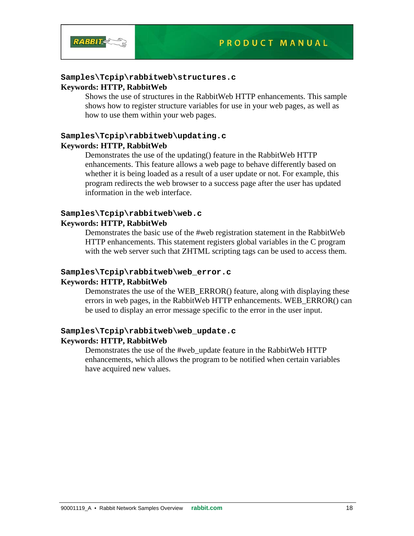

#### **Samples\Tcpip\rabbitweb\structures.c**

#### **Keywords: HTTP, RabbitWeb**

Shows the use of structures in the RabbitWeb HTTP enhancements. This sample shows how to register structure variables for use in your web pages, as well as how to use them within your web pages.

## **Samples\Tcpip\rabbitweb\updating.c Keywords: HTTP, RabbitWeb**

Demonstrates the use of the updating() feature in the RabbitWeb HTTP enhancements. This feature allows a web page to behave differently based on whether it is being loaded as a result of a user update or not. For example, this program redirects the web browser to a success page after the user has updated information in the web interface.

#### **Samples\Tcpip\rabbitweb\web.c Keywords: HTTP, RabbitWeb**

Demonstrates the basic use of the #web registration statement in the RabbitWeb HTTP enhancements. This statement registers global variables in the C program with the web server such that ZHTML scripting tags can be used to access them.

#### **Samples\Tcpip\rabbitweb\web\_error.c**

#### **Keywords: HTTP, RabbitWeb**

Demonstrates the use of the WEB\_ERROR() feature, along with displaying these errors in web pages, in the RabbitWeb HTTP enhancements. WEB\_ERROR() can be used to display an error message specific to the error in the user input.

## **Samples\Tcpip\rabbitweb\web\_update.c**

#### **Keywords: HTTP, RabbitWeb**

Demonstrates the use of the #web\_update feature in the RabbitWeb HTTP enhancements, which allows the program to be notified when certain variables have acquired new values.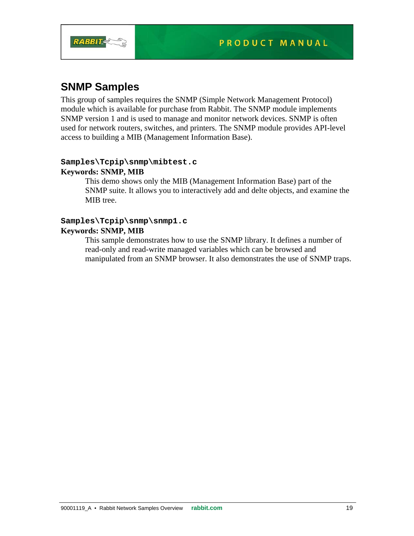

# **SNMP Samples**

This group of samples requires the SNMP (Simple Network Management Protocol) module which is available for purchase from Rabbit. The SNMP module implements SNMP version 1 and is used to manage and monitor network devices. SNMP is often used for network routers, switches, and printers. The SNMP module provides API-level access to building a MIB (Management Information Base).

## **Samples\Tcpip\snmp\mibtest.c Keywords: SNMP, MIB**

This demo shows only the MIB (Management Information Base) part of the SNMP suite. It allows you to interactively add and delte objects, and examine the MIB tree.

## **Samples\Tcpip\snmp\snmp1.c Keywords: SNMP, MIB**

This sample demonstrates how to use the SNMP library. It defines a number of read-only and read-write managed variables which can be browsed and manipulated from an SNMP browser. It also demonstrates the use of SNMP traps.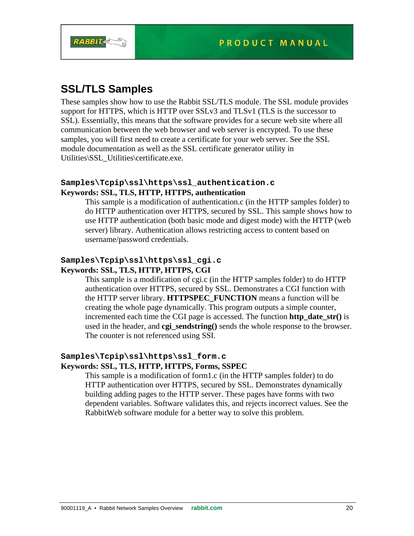

# **SSL/TLS Samples**

These samples show how to use the Rabbit SSL/TLS module. The SSL module provides support for HTTPS, which is HTTP over SSLv3 and TLSv1 (TLS is the successor to SSL). Essentially, this means that the software provides for a secure web site where all communication between the web browser and web server is encrypted. To use these samples, you will first need to create a certificate for your web server. See the SSL module documentation as well as the SSL certificate generator utility in Utilities\SSL\_Utilities\certificate.exe.

## **Samples\Tcpip\ssl\https\ssl\_authentication.c Keywords: SSL, TLS, HTTP, HTTPS, authentication**

This sample is a modification of authentication.c (in the HTTP samples folder) to do HTTP authentication over HTTPS, secured by SSL. This sample shows how to use HTTP authentication (both basic mode and digest mode) with the HTTP (web server) library. Authentication allows restricting access to content based on username/password credentials.

## **Samples\Tcpip\ssl\https\ssl\_cgi.c Keywords: SSL, TLS, HTTP, HTTPS, CGI**

This sample is a modification of cgi.c (in the HTTP samples folder) to do HTTP authentication over HTTPS, secured by SSL. Demonstrates a CGI function with the HTTP server library. **HTTPSPEC\_FUNCTION** means a function will be creating the whole page dynamically. This program outputs a simple counter, incremented each time the CGI page is accessed. The function **http** date  $str()$  is used in the header, and **cgi\_sendstring()** sends the whole response to the browser. The counter is not referenced using SSI.

## **Samples\Tcpip\ssl\https\ssl\_form.c**

## **Keywords: SSL, TLS, HTTP, HTTPS, Forms, SSPEC**

This sample is a modification of form1.c (in the HTTP samples folder) to do HTTP authentication over HTTPS, secured by SSL. Demonstrates dynamically building adding pages to the HTTP server. These pages have forms with two dependent variables. Software validates this, and rejects incorrect values. See the RabbitWeb software module for a better way to solve this problem.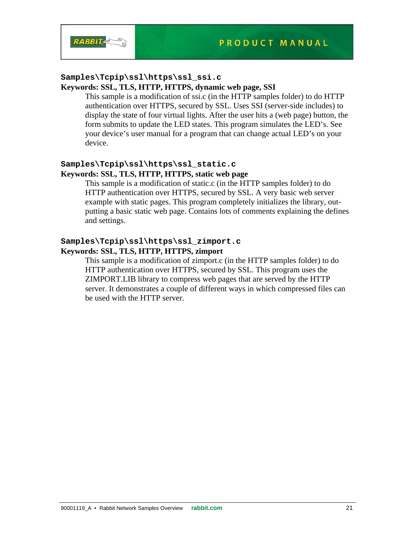

# **Samples\Tcpip\ssl\https\ssl\_ssi.c**

## **Keywords: SSL, TLS, HTTP, HTTPS, dynamic web page, SSI**

This sample is a modification of ssi.c (in the HTTP samples folder) to do HTTP authentication over HTTPS, secured by SSL. Uses SSI (server-side includes) to display the state of four virtual lights. After the user hits a (web page) button, the form submits to update the LED states. This program simulates the LED's. See your device's user manual for a program that can change actual LED's on your device.

## **Samples\Tcpip\ssl\https\ssl\_static.c Keywords: SSL, TLS, HTTP, HTTPS, static web page**

This sample is a modification of static.c (in the HTTP samples folder) to do HTTP authentication over HTTPS, secured by SSL. A very basic web server example with static pages. This program completely initializes the library, outputting a basic static web page. Contains lots of comments explaining the defines and settings.

## **Samples\Tcpip\ssl\https\ssl\_zimport.c Keywords: SSL, TLS, HTTP, HTTPS, zimport**

This sample is a modification of zimport.c (in the HTTP samples folder) to do HTTP authentication over HTTPS, secured by SSL. This program uses the ZIMPORT.LIB library to compress web pages that are served by the HTTP server. It demonstrates a couple of different ways in which compressed files can be used with the HTTP server.